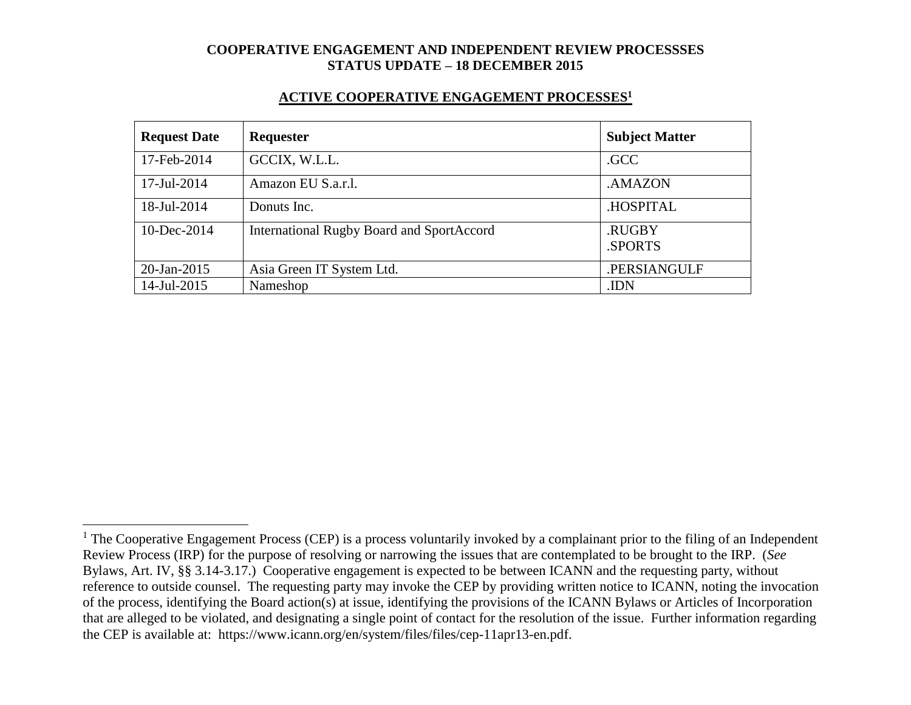#### **ACTIVE COOPERATIVE ENGAGEMENT PROCESSES<sup>1</sup>**

| <b>Request Date</b> | Requester                                        | <b>Subject Matter</b> |
|---------------------|--------------------------------------------------|-----------------------|
| 17-Feb-2014         | GCCIX, W.L.L.                                    | .GCC                  |
| 17-Jul-2014         | Amazon EU S.a.r.l.                               | .AMAZON               |
| 18-Jul-2014         | Donuts Inc.                                      | .HOSPITAL             |
| 10-Dec-2014         | <b>International Rugby Board and SportAccord</b> | .RUGBY<br>.SPORTS     |
| 20-Jan-2015         | Asia Green IT System Ltd.                        | .PERSIANGULF          |
| 14-Jul-2015         | Nameshop                                         | .IDN                  |

 $\overline{a}$ 

 $1$  The Cooperative Engagement Process (CEP) is a process voluntarily invoked by a complainant prior to the filing of an Independent Review Process (IRP) for the purpose of resolving or narrowing the issues that are contemplated to be brought to the IRP. (*See* Bylaws, Art. IV, §§ 3.14-3.17.) Cooperative engagement is expected to be between ICANN and the requesting party, without reference to outside counsel. The requesting party may invoke the CEP by providing written notice to ICANN, noting the invocation of the process, identifying the Board action(s) at issue, identifying the provisions of the ICANN Bylaws or Articles of Incorporation that are alleged to be violated, and designating a single point of contact for the resolution of the issue. Further information regarding the CEP is available at: https://www.icann.org/en/system/files/files/cep-11apr13-en.pdf.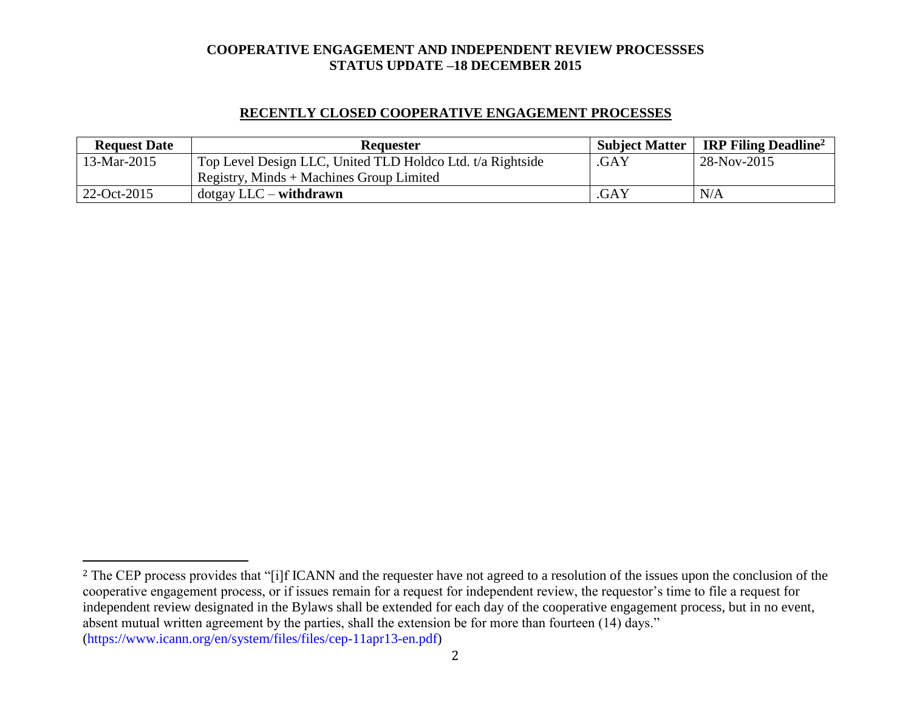# **RECENTLY CLOSED COOPERATIVE ENGAGEMENT PROCESSES**

| <b>Request Date</b> | <b>Requester</b>                                           |      | Subject Matter   IRP Filing Deadline <sup>2</sup> |
|---------------------|------------------------------------------------------------|------|---------------------------------------------------|
| 13-Mar-2015         | Top Level Design LLC, United TLD Holdco Ltd. t/a Rightside | .GAY | 28-Nov-2015                                       |
|                     | Registry, Minds + Machines Group Limited                   |      |                                                   |
| $22-Oct-2015$       | $dot$ gay LLC – withdrawn                                  | .GAY | N/A                                               |

l

<sup>&</sup>lt;sup>2</sup> The CEP process provides that "[i]f ICANN and the requester have not agreed to a resolution of the issues upon the conclusion of the cooperative engagement process, or if issues remain for a request for independent review, the requestor's time to file a request for independent review designated in the Bylaws shall be extended for each day of the cooperative engagement process, but in no event, absent mutual written agreement by the parties, shall the extension be for more than fourteen (14) days." (https://www.icann.org/en/system/files/files/cep-11apr13-en.pdf)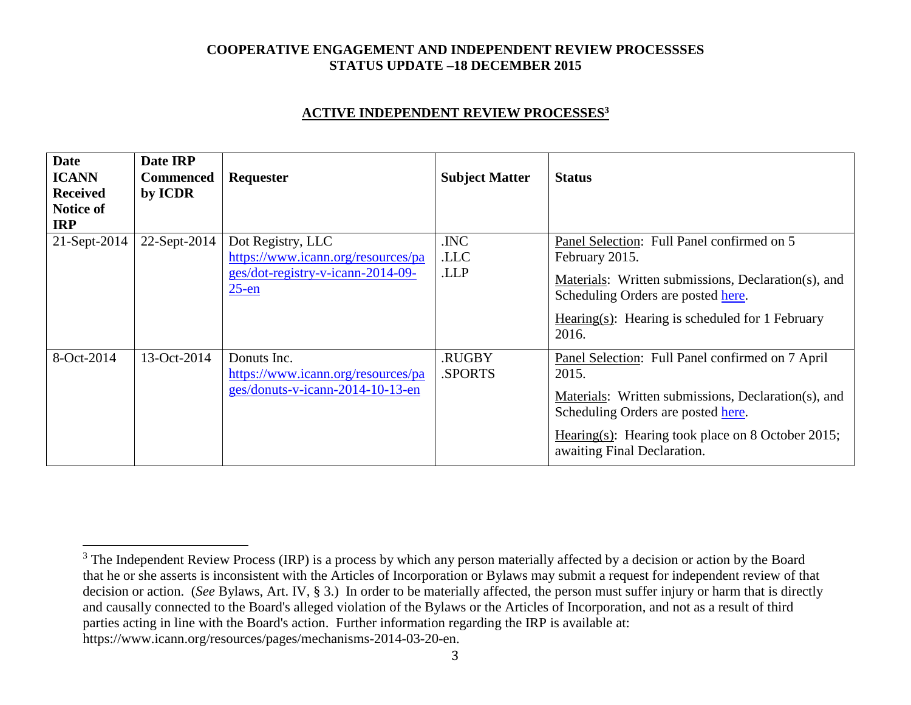### **ACTIVE INDEPENDENT REVIEW PROCESSES<sup>3</sup>**

| <b>Date</b><br><b>ICANN</b><br><b>Received</b><br>Notice of<br><b>IRP</b> | Date IRP<br><b>Commenced</b><br>by ICDR | Requester                                                                                                | <b>Subject Matter</b>   | <b>Status</b>                                                                                                                                                                                                                              |
|---------------------------------------------------------------------------|-----------------------------------------|----------------------------------------------------------------------------------------------------------|-------------------------|--------------------------------------------------------------------------------------------------------------------------------------------------------------------------------------------------------------------------------------------|
| 21-Sept-2014                                                              | 22-Sept-2014                            | Dot Registry, LLC<br>https://www.icann.org/resources/pa<br>ges/dot-registry-v-icann-2014-09-<br>$25$ -en | .INC<br>.LLC<br>.LLP    | Panel Selection: Full Panel confirmed on 5<br>February 2015.<br>Materials: Written submissions, Declaration(s), and<br>Scheduling Orders are posted here.<br>Hearing(s): Hearing is scheduled for 1 February<br>2016.                      |
| 8-Oct-2014                                                                | 13-Oct-2014                             | Donuts Inc.<br>https://www.icann.org/resources/pa<br>ges/donuts-v-icann-2014-10-13-en                    | <b>RUGBY</b><br>.SPORTS | Panel Selection: Full Panel confirmed on 7 April<br>2015.<br>Materials: Written submissions, Declaration(s), and<br>Scheduling Orders are posted here.<br>Hearing(s): Hearing took place on 8 October 2015;<br>awaiting Final Declaration. |

 $\overline{a}$ 

<sup>&</sup>lt;sup>3</sup> The Independent Review Process (IRP) is a process by which any person materially affected by a decision or action by the Board that he or she asserts is inconsistent with the Articles of Incorporation or Bylaws may submit a request for independent review of that decision or action. (*See* Bylaws, Art. IV, § 3.) In order to be materially affected, the person must suffer injury or harm that is directly and causally connected to the Board's alleged violation of the Bylaws or the Articles of Incorporation, and not as a result of third parties acting in line with the Board's action. Further information regarding the IRP is available at: https://www.icann.org/resources/pages/mechanisms-2014-03-20-en.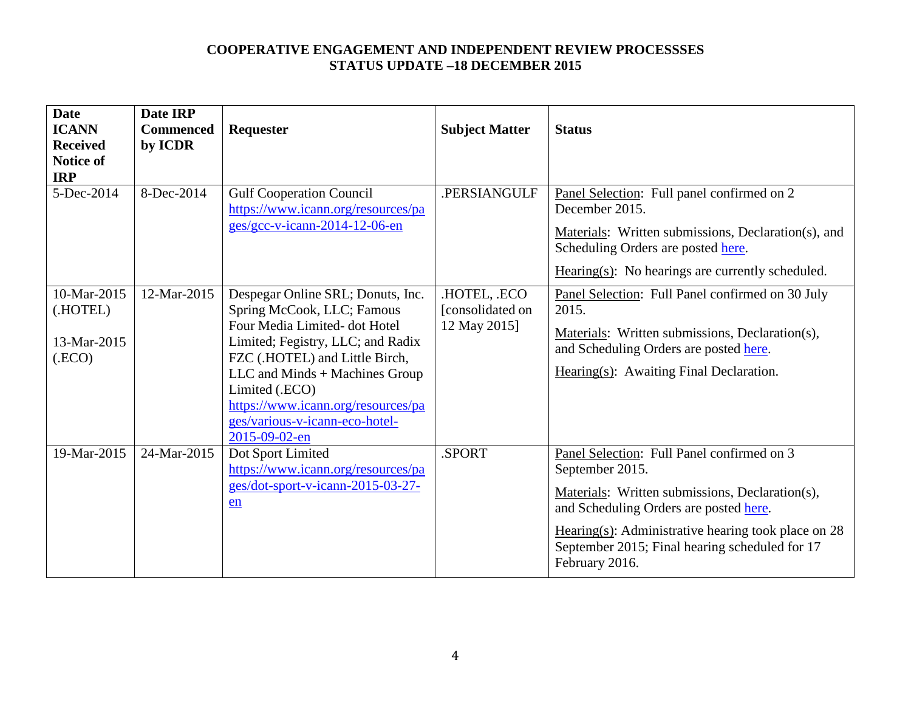| <b>Date</b><br><b>ICANN</b><br><b>Received</b><br><b>Notice of</b><br><b>IRP</b><br>5-Dec-2014 | Date IRP<br><b>Commenced</b><br>by ICDR<br>8-Dec-2014 | Requester<br><b>Gulf Cooperation Council</b>                                                                                                                                                                                                                                                                         | <b>Subject Matter</b><br>.PERSIANGULF            | <b>Status</b><br>Panel Selection: Full panel confirmed on 2                                                                                                                                                                                                                             |
|------------------------------------------------------------------------------------------------|-------------------------------------------------------|----------------------------------------------------------------------------------------------------------------------------------------------------------------------------------------------------------------------------------------------------------------------------------------------------------------------|--------------------------------------------------|-----------------------------------------------------------------------------------------------------------------------------------------------------------------------------------------------------------------------------------------------------------------------------------------|
|                                                                                                |                                                       | https://www.icann.org/resources/pa<br>$ges/gcc-v-icann-2014-12-06-en$                                                                                                                                                                                                                                                |                                                  | December 2015.<br>Materials: Written submissions, Declaration(s), and<br>Scheduling Orders are posted here.<br>$Hearing(s): No hearings are currently scheduled.$                                                                                                                       |
| 10-Mar-2015<br>(.HOTEL)<br>13-Mar-2015<br>(ECO)                                                | 12-Mar-2015                                           | Despegar Online SRL; Donuts, Inc.<br>Spring McCook, LLC; Famous<br>Four Media Limited- dot Hotel<br>Limited; Fegistry, LLC; and Radix<br>FZC (.HOTEL) and Little Birch,<br>LLC and Minds + Machines Group<br>Limited (.ECO)<br>https://www.icann.org/resources/pa<br>ges/various-v-icann-eco-hotel-<br>2015-09-02-en | .HOTEL, .ECO<br>[consolidated on<br>12 May 2015] | Panel Selection: Full Panel confirmed on 30 July<br>2015.<br>Materials: Written submissions, Declaration(s),<br>and Scheduling Orders are posted here.<br>Hearing(s): Awaiting Final Declaration.                                                                                       |
| 19-Mar-2015                                                                                    | 24-Mar-2015                                           | Dot Sport Limited<br>https://www.icann.org/resources/pa<br>ges/dot-sport-v-icann-2015-03-27-<br>en                                                                                                                                                                                                                   | .SPORT                                           | Panel Selection: Full Panel confirmed on 3<br>September 2015.<br>Materials: Written submissions, Declaration(s),<br>and Scheduling Orders are posted here.<br>Hearing(s): Administrative hearing took place on $28$<br>September 2015; Final hearing scheduled for 17<br>February 2016. |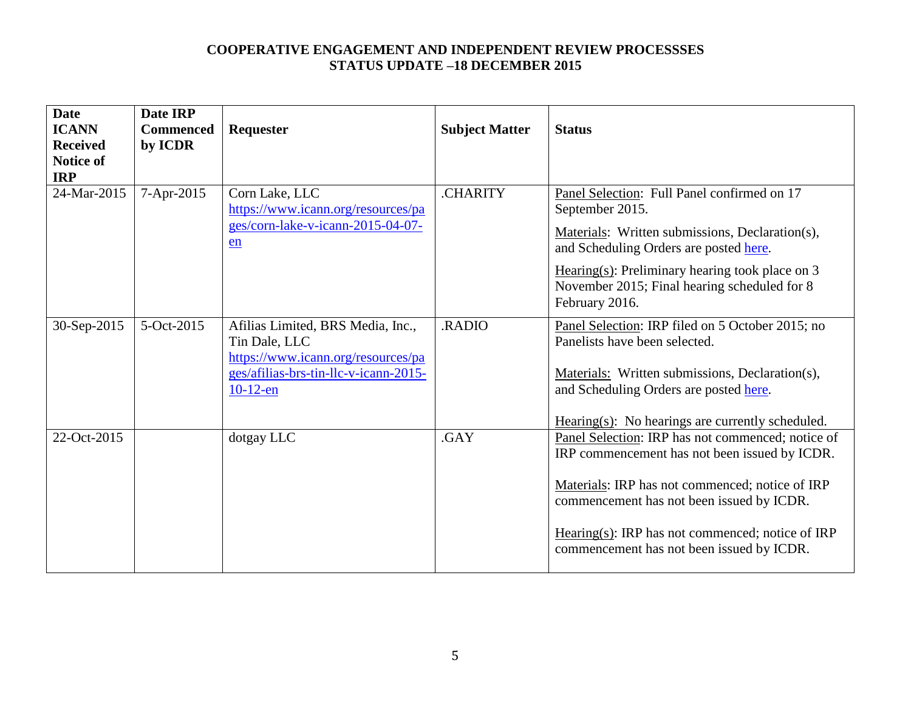| <b>Date</b><br><b>ICANN</b><br><b>Received</b><br><b>Notice of</b><br><b>IRP</b> | Date IRP<br><b>Commenced</b><br>by ICDR | <b>Requester</b>                                                                                                                                 | <b>Subject Matter</b> | <b>Status</b>                                                                                                                                                                                                                                                                                       |
|----------------------------------------------------------------------------------|-----------------------------------------|--------------------------------------------------------------------------------------------------------------------------------------------------|-----------------------|-----------------------------------------------------------------------------------------------------------------------------------------------------------------------------------------------------------------------------------------------------------------------------------------------------|
| 24-Mar-2015                                                                      | 7-Apr-2015                              | Corn Lake, LLC<br>https://www.icann.org/resources/pa<br>ges/corn-lake-v-icann-2015-04-07-<br>en                                                  | <b>CHARITY</b>        | Panel Selection: Full Panel confirmed on 17<br>September 2015.<br>Materials: Written submissions, Declaration(s),<br>and Scheduling Orders are posted here.<br>$Hearing(s): Preliminary hearing took place on 3$<br>November 2015; Final hearing scheduled for 8<br>February 2016.                  |
| 30-Sep-2015                                                                      | 5-Oct-2015                              | Afilias Limited, BRS Media, Inc.,<br>Tin Dale, LLC<br>https://www.icann.org/resources/pa<br>ges/afilias-brs-tin-llc-v-icann-2015-<br>$10-12$ -en | .RADIO                | Panel Selection: IRP filed on 5 October 2015; no<br>Panelists have been selected.<br>Materials: Written submissions, Declaration(s),<br>and Scheduling Orders are posted here.<br>$Hearing(s):$ No hearings are currently scheduled.                                                                |
| 22-Oct-2015                                                                      |                                         | dotgay LLC                                                                                                                                       | .GAY                  | Panel Selection: IRP has not commenced; notice of<br>IRP commencement has not been issued by ICDR.<br>Materials: IRP has not commenced; notice of IRP<br>commencement has not been issued by ICDR.<br>Hearing(s): IRP has not commenced; notice of IRP<br>commencement has not been issued by ICDR. |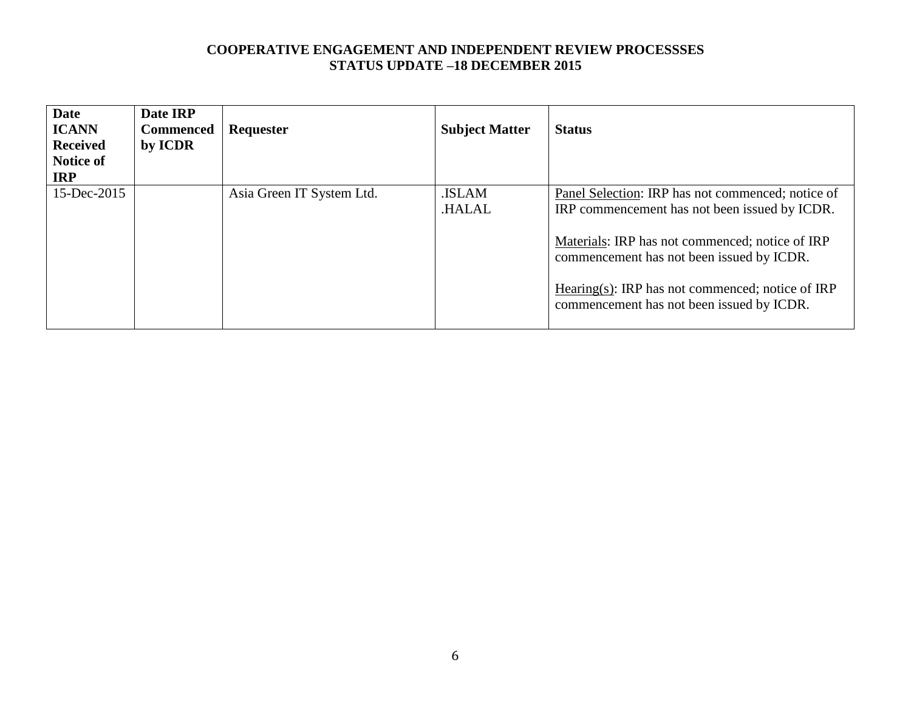| <b>Date</b><br><b>ICANN</b><br><b>Received</b><br>Notice of<br><b>IRP</b> | Date IRP<br><b>Commenced</b><br>by ICDR | Requester                 | <b>Subject Matter</b>  | <b>Status</b>                                                                                                                                                                                                                                                                                       |
|---------------------------------------------------------------------------|-----------------------------------------|---------------------------|------------------------|-----------------------------------------------------------------------------------------------------------------------------------------------------------------------------------------------------------------------------------------------------------------------------------------------------|
| 15-Dec-2015                                                               |                                         | Asia Green IT System Ltd. | .ISLAM<br><b>HALAL</b> | Panel Selection: IRP has not commenced; notice of<br>IRP commencement has not been issued by ICDR.<br>Materials: IRP has not commenced; notice of IRP<br>commencement has not been issued by ICDR.<br>Hearing(s): IRP has not commenced; notice of IRP<br>commencement has not been issued by ICDR. |